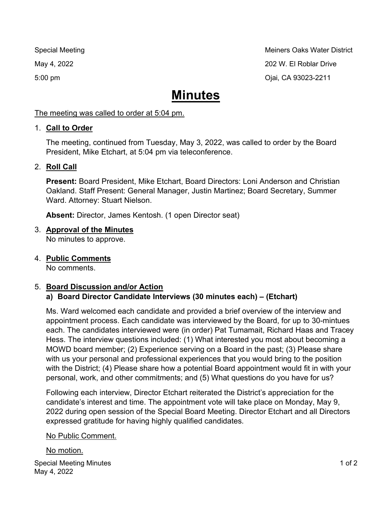Special Meeting Methods and Methods and Meiners Oaks Water District May 4, 2022 202 W. El Roblar Drive 5:00 pm Ojai, CA 93023-2211

# **Minutes**

The meeting was called to order at 5:04 pm.

# 1. **Call to Order**

The meeting, continued from Tuesday, May 3, 2022, was called to order by the Board President, Mike Etchart, at 5:04 pm via teleconference.

# 2. **Roll Call**

**Present:** Board President, Mike Etchart, Board Directors: Loni Anderson and Christian Oakland. Staff Present: General Manager, Justin Martinez; Board Secretary, Summer Ward. Attorney: Stuart Nielson.

**Absent:** Director, James Kentosh. (1 open Director seat)

# 3. **Approval of the Minutes**

No minutes to approve.

4. **Public Comments**

No comments.

#### 5. **Board Discussion and/or Action a) Board Director Candidate Interviews (30 minutes each) – (Etchart)**

Ms. Ward welcomed each candidate and provided a brief overview of the interview and appointment process. Each candidate was interviewed by the Board, for up to 30-mintues each. The candidates interviewed were (in order) Pat Tumamait, Richard Haas and Tracey Hess. The interview questions included: (1) What interested you most about becoming a MOWD board member; (2) Experience serving on a Board in the past; (3) Please share with us your personal and professional experiences that you would bring to the position with the District; (4) Please share how a potential Board appointment would fit in with your personal, work, and other commitments; and (5) What questions do you have for us?

Following each interview, Director Etchart reiterated the District's appreciation for the candidate's interest and time. The appointment vote will take place on Monday, May 9, 2022 during open session of the Special Board Meeting. Director Etchart and all Directors expressed gratitude for having highly qualified candidates.

# No Public Comment.

#### No motion.

Special Meeting Minutes May 4, 2022